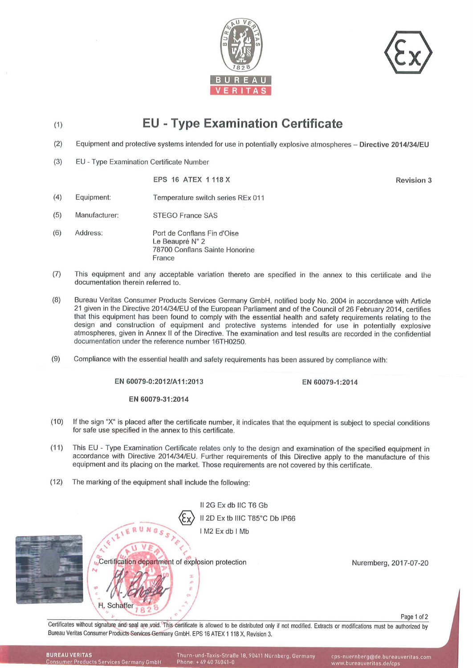



## (1) EU - Type Examination Certificate

- (2) Equipment and protective systems intended for use in potentially explosive atmospheres - Directive 2014/34/EU
- (3) EU - Type Examination Certificate Number

EPS 16 ATEX 1 118X

Revision 3

- (4) Equipment: Temperature switch series REx 011
- (5) Manufacturer: STEGO France SAS
- (6) Address: Port de Conflans Fin d'Oise Le Beaupré N° 2 78700 Conflans Sainte Honorine France
- (7) This equipment and any acceptable variation thereto are specified in the annex to this certificate and the documentation therein referred to.
- (8) Bureau Veritas Consumer Products Services Germany GmbH, notified body No. 2004 in accordance with Article 21 given in the Directive 2014/34/EU of the European Parliament and of the Council of 26 February 2014, certifies that this equipment has been found to comply with the essential health and safety requirements relating to the design and construction of equipment and protective systems intended for use in potentially explosive atmospheres, given in Annex II of the Directive. The examination and test results are recorded in the confidential documentation under the reference number 16TH0250.
- (9) Compliance with the essential health and safety requirements has been assured by compliance with:

EN 60079-0:2012/Al1:2013

EN 60079-1:2014

EN 60079-31:2014

- (10) If the sign "X" is placed after the certificate number, it indicates that the equipment is subject to special conditions for safe use specified in the annex to this certificate.
- (11) This EU - Type Examination Certificate relates only to the design and examination of the specified equipment in accordance with Directive 2014/34/EU. Further requirements of this Directive apply to the manufacture of this equipment and its placing on the market. Those requirements are not covered by this certificate.
- (12) The marking of the equipment shall include the following:



Certificates without signature and seal are void. This-certificate is allowed to be distributed only if not modified. Extracts or modifications must be authorized by<br>Bureau Veritas Consumer Products Services Germany GmbH.